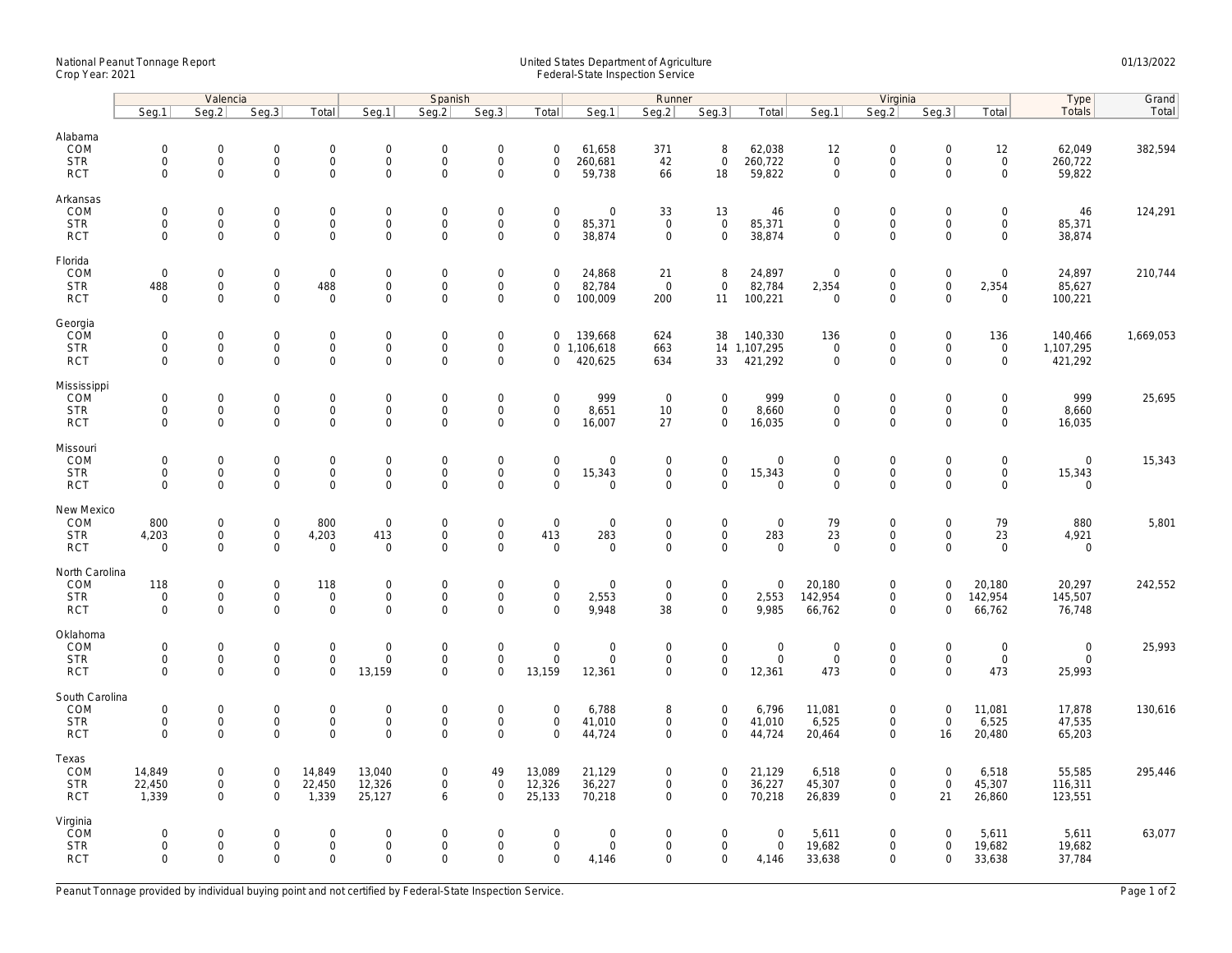## National Peanut Tonnage Report United States Department of Agriculture 01/13/2022 Crop Year: 2021 Federal-State Inspection Service

|                                                       | Valencia                                  |                                                            |                                                   |                                                           | Spanish                                           |                                                   |                                                           |                                           |                                              | Runner                                    |                                                            |                                         | Virginia                                          |                                                           |                                                        |                                                           | Type                                 | Grand     |
|-------------------------------------------------------|-------------------------------------------|------------------------------------------------------------|---------------------------------------------------|-----------------------------------------------------------|---------------------------------------------------|---------------------------------------------------|-----------------------------------------------------------|-------------------------------------------|----------------------------------------------|-------------------------------------------|------------------------------------------------------------|-----------------------------------------|---------------------------------------------------|-----------------------------------------------------------|--------------------------------------------------------|-----------------------------------------------------------|--------------------------------------|-----------|
|                                                       | Seg.1                                     | Seg.2                                                      | Seq.3                                             | Total                                                     | Seg.1                                             | Seg.2                                             | Seg.3                                                     | Total                                     | Seg.1                                        | Seg.2                                     | Seg.3                                                      | Total                                   | Seg.1                                             | Seg.2                                                     | Seg.3                                                  | Total                                                     | Totals                               | Total     |
| Alabama<br>COM<br><b>STR</b><br><b>RCT</b>            | $\mathbf 0$<br>$\mathbf 0$<br>0           | $\mathsf{O}\xspace$<br>$\mathsf{O}\xspace$<br>$\mathbf 0$  | $\mathbf 0$<br>$\mathbf 0$<br>$\mathbf 0$         | $\mathsf{O}\xspace$<br>$\mathsf{O}\xspace$<br>$\mathbf 0$ | $\mathsf{O}$<br>$\mathsf{O}$<br>$\mathbf 0$       | $\mathbf 0$<br>$\mathsf 0$<br>$\Omega$            | $\mathsf{O}\xspace$<br>$\mathsf{O}\xspace$<br>$\mathbf 0$ | $\mathbf 0$<br>$\mathbf 0$<br>$\Omega$    | 61,658<br>260,681<br>59,738                  | 371<br>42<br>66                           | 8<br>$\mathsf 0$<br>18                                     | 62,038<br>260,722<br>59,822             | 12<br>$\mathsf{O}\xspace$<br>$\mathbf 0$          | $\mathbf 0$<br>$\mathsf{O}\xspace$<br>$\mathbf 0$         | $\mathsf 0$<br>$\mathbf 0$<br>$\Omega$                 | 12<br>$\mathsf{O}\xspace$<br>$\mathbf{0}$                 | 62,049<br>260,722<br>59,822          | 382,594   |
| Arkansas<br>COM<br><b>STR</b><br><b>RCT</b>           | $\mathbf 0$<br>0<br>$\mathbf 0$           | $\mathsf{O}\xspace$<br>$\mathsf{O}\xspace$<br>$\mathbf 0$  | $\mathbf 0$<br>0<br>$\mathbf 0$                   | $\mathsf{O}\xspace$<br>0<br>$\mathbf 0$                   | $\mathbf 0$<br>$\mathsf{O}$<br>$\mathbf 0$        | $\mathbf 0$<br>$\mathbf 0$<br>$\mathbf 0$         | $\mathsf{O}\xspace$<br>$\mathsf{O}\xspace$<br>$\mathbf 0$ | $\mathbf 0$<br>$\mathbf 0$<br>$\mathbf 0$ | $\mathbf 0$<br>85,371<br>38,874              | 33<br>$\mathsf{O}$<br>$\mathbf 0$         | 13<br>$\mathsf{O}\xspace$<br>$\mathbf 0$                   | 46<br>85,371<br>38,874                  | $\mathbf 0$<br>$\mathsf{O}\xspace$<br>$\mathbf 0$ | $\mathsf{O}\xspace$<br>$\mathsf{O}\xspace$<br>$\mathbf 0$ | $\Omega$<br>0<br>$\mathbf 0$                           | $\mathbf 0$<br>$\mathsf{O}\xspace$<br>$\mathbf 0$         | 46<br>85,371<br>38,874               | 124,291   |
| Florida<br>COM<br><b>STR</b><br><b>RCT</b>            | $\mathbf 0$<br>488<br>$\mathbf 0$         | $\mathsf{O}\xspace$<br>$\mathsf{O}\xspace$<br>$\mathbf 0$  | $\mathbf 0$<br>$\mathsf{O}\xspace$<br>$\mathbf 0$ | $\mathbf 0$<br>488<br>$\mathbf 0$                         | $\mathbf 0$<br>$\mathsf{O}$<br>$\mathsf 0$        | $\mathbf 0$<br>$\mathsf{O}\xspace$<br>$\mathsf 0$ | $\mathsf{O}\xspace$<br>$\mathsf 0$<br>$\mathsf{O}\xspace$ | $\Omega$<br>$\mathbf 0$<br>$\mathbf 0$    | 24,868<br>82,784<br>100,009                  | 21<br>$\mathbf 0$<br>200                  | 8<br>$\mathbf{0}$<br>11                                    | 24,897<br>82,784<br>100,221             | $\mathbf 0$<br>2,354<br>$\mathbf 0$               | $\mathbf 0$<br>$\mathsf{O}\xspace$<br>$\mathsf{O}\xspace$ | $\boldsymbol{0}$<br>$\mathsf{O}\xspace$<br>$\mathbf 0$ | $\mathbf 0$<br>2,354<br>$\mathsf{O}\xspace$               | 24,897<br>85,627<br>100,221          | 210,744   |
| Georgia<br>COM<br><b>STR</b><br><b>RCT</b>            | $\mathbf 0$<br>$\mathbf 0$<br>$\mathbf 0$ | $\mathsf{O}\xspace$<br>$\mathsf{O}\xspace$<br>$\mathbf{0}$ | $\mathbf 0$<br>$\mathsf{O}\xspace$<br>$\mathbf 0$ | $\mathbf 0$<br>$\mathbf 0$<br>$\mathbf{0}$                | $\mathbf 0$<br>$\mathsf{O}$<br>$\mathbf{0}$       | $\mathbf 0$<br>$\mathsf 0$<br>$\mathbf 0$         | $\mathsf{O}\xspace$<br>$\mathsf 0$<br>$\mathbf 0$         | $\mathbf 0$<br>0                          | 139,668<br>0 1,106,618<br>420,625            | 624<br>663<br>634                         | 38<br>33                                                   | 140,330<br>14 1,107,295<br>421,292      | 136<br>$\mathbf 0$<br>$\mathbf 0$                 | $\mathbf 0$<br>$\mathsf{O}\xspace$<br>$\mathbf 0$         | $\overline{0}$<br>$\mathbf 0$<br>$\mathbf 0$           | 136<br>$\mathbf 0$<br>$\mathbf 0$                         | 140,466<br>1,107,295<br>421,292      | 1,669,053 |
| Mississippi<br><b>COM</b><br><b>STR</b><br><b>RCT</b> | $\mathbf 0$<br>$\mathbf 0$<br>$\mathbf 0$ | $\mathbf 0$<br>$\mathbf 0$<br>$\mathbf 0$                  | $\mathbf 0$<br>$\mathbf 0$<br>$\mathbf 0$         | $\mathbf 0$<br>$\mathbf 0$<br>$\mathbf 0$                 | $\mathbf 0$<br>$\mathbf 0$<br>$\mathbf 0$         | $\mathbf 0$<br>$\mathsf 0$<br>$\Omega$            | $\mathsf 0$<br>$\mathsf{O}\xspace$<br>$\mathbf 0$         | $\mathbf 0$<br>$\mathbf 0$<br>$\mathbf 0$ | 999<br>8,651<br>16,007                       | $\overline{0}$<br>10<br>27                | $\mathbf 0$<br>$\mathbf 0$<br>$\mathbf 0$                  | 999<br>8,660<br>16,035                  | $\mathbf 0$<br>$\mathsf{O}\xspace$<br>$\mathbf 0$ | $\mathbf 0$<br>$\mathbf 0$<br>$\mathbf 0$                 | $\Omega$<br>$\mathsf 0$<br>$\Omega$                    | $\mathbf 0$<br>$\mathbf 0$<br>$\mathbf 0$                 | 999<br>8,660<br>16,035               | 25,695    |
| Missouri<br>COM<br><b>STR</b><br><b>RCT</b>           | $\mathbf 0$<br>$\mathbf 0$<br>$\Omega$    | $\mathsf{O}\xspace$<br>$\mathsf{O}\xspace$<br>$\mathbf 0$  | $\mathbf 0$<br>$\mathbf 0$<br>$\mathbf 0$         | $\mathsf{O}\xspace$<br>$\mathbf 0$<br>$\mathsf{O}$        | $\mathbf 0$<br>$\mathsf{O}$<br>$\mathbf 0$        | $\mathbf 0$<br>$\mathbf 0$<br>$\mathbf 0$         | $\mathsf{O}\xspace$<br>$\mathsf{O}\xspace$<br>$\mathbf 0$ | $\mathbf 0$<br>$\mathbf 0$<br>$\Omega$    | $\mathsf{O}\xspace$<br>15,343<br>$\mathbf 0$ | $\mathbf 0$<br>$\mathbf 0$<br>$\mathbf 0$ | $\mathsf{O}\xspace$<br>$\mathsf{O}\xspace$<br>$\mathbf{0}$ | $\mathbf 0$<br>15,343<br>$\mathbf 0$    | $\mathbf 0$<br>$\mathbf 0$<br>$\mathbf 0$         | $\mathsf{O}\xspace$<br>$\mathbf 0$<br>$\mathbf 0$         | $\Omega$<br>$\mathbf 0$<br>$\mathbf 0$                 | $\mathsf{O}\xspace$<br>$\mathsf{O}\xspace$<br>$\mathbf 0$ | $\mathbf 0$<br>15,343<br>$\mathbf 0$ | 15,343    |
| New Mexico<br>COM<br><b>STR</b><br><b>RCT</b>         | 800<br>4,203<br>$\Omega$                  | 0<br>$\mathbf 0$<br>$\mathbf{0}$                           | $\mathbf 0$<br>$\mathbf 0$<br>$\mathbf 0$         | 800<br>4,203<br>$\mathbf 0$                               | $\boldsymbol{0}$<br>413<br>$\mathbf 0$            | $\mathbf 0$<br>$\mathbf 0$<br>$\Omega$            | $\mathsf{O}\xspace$<br>$\mathsf 0$<br>$\Omega$            | $\mathbf 0$<br>413<br>$\mathbf 0$         | $\mathbf 0$<br>283<br>$\mathbf 0$            | $\mathbf 0$<br>$\mathbf 0$<br>$\Omega$    | $\mathsf{O}\xspace$<br>$\mathbf{0}$<br>$\mathbf 0$         | $\boldsymbol{0}$<br>283<br>$\mathbf 0$  | 79<br>23<br>$\Omega$                              | $\mathbf 0$<br>$\mathbf 0$<br>$\Omega$                    | $\mathbf 0$<br>$\mathbf 0$<br>$\Omega$                 | 79<br>23<br>$\Omega$                                      | 880<br>4,921<br>$\mathbf{0}$         | 5,801     |
| North Carolina<br>COM<br><b>STR</b><br><b>RCT</b>     | 118<br>$\mathbf 0$<br>$\Omega$            | $\mathbf 0$<br>$\mathsf{O}\xspace$<br>$\mathbf 0$          | $\mathbf 0$<br>$\mathbf 0$<br>$\mathbf 0$         | 118<br>$\mathbf 0$<br>$\mathbf 0$                         | $\boldsymbol{0}$<br>$\mathsf 0$<br>$\Omega$       | $\mathbf 0$<br>$\mathsf 0$<br>$\Omega$            | $\mathbf 0$<br>$\mathsf 0$<br>$\Omega$                    | $\mathbf 0$<br>$\mathsf 0$<br>$\Omega$    | $\mathbf 0$<br>2,553<br>9,948                | $\mathbf 0$<br>$\mathbf 0$<br>38          | $\mathbf 0$<br>$\mathbf 0$<br>$\mathbf 0$                  | $\mathbf 0$<br>2,553<br>9,985           | 20,180<br>142,954<br>66,762                       | $\mathbf 0$<br>$\mathsf{O}\xspace$<br>$\mathbf 0$         | $\Omega$<br>$\mathsf 0$<br>$\Omega$                    | 20,180<br>142,954<br>66,762                               | 20,297<br>145,507<br>76,748          | 242,552   |
| Oklahoma<br>COM<br><b>STR</b><br><b>RCT</b>           | $\mathbf 0$<br>$\mathbf 0$<br>$\Omega$    | $\mathsf{O}\xspace$<br>0<br>$\mathbf 0$                    | $\mathbf 0$<br>$\mathbf 0$<br>$\mathbf 0$         | $\mathbf 0$<br>$\mathbf 0$<br>$\mathbf 0$                 | $\mathbf 0$<br>$\mathbf 0$<br>13,159              | $\mathbf 0$<br>$\mathbf 0$<br>$\Omega$            | $\mathsf{O}\xspace$<br>$\mathsf{O}\xspace$<br>$\Omega$    | $\mathbf 0$<br>$\mathbf 0$<br>13,159      | $\mathsf{O}\xspace$<br>$\mathbf 0$<br>12,361 | $\mathbf 0$<br>0<br>$\mathbf 0$           | $\mathbf{0}$<br>$\mathbf 0$<br>$\mathbf 0$                 | $\mathbf 0$<br>$\mathbf 0$<br>12,361    | $\mathbf 0$<br>$\mathsf{O}\xspace$<br>473         | $\mathbf 0$<br>$\mathbf 0$<br>$\mathbf 0$                 | $\mathbf 0$<br>$\mathbf 0$<br>$\Omega$                 | $\mathsf{O}\xspace$<br>$\mathbf 0$<br>473                 | $\mathbf 0$<br>$\mathbf 0$<br>25,993 | 25,993    |
| South Carolina<br>COM<br><b>STR</b><br><b>RCT</b>     | $\mathbf 0$<br>$\mathbf 0$<br>$\Omega$    | $\mathsf{O}\xspace$<br>$\mathsf{O}\xspace$<br>$\Omega$     | $\mathbf 0$<br>$\mathbf 0$<br>$\Omega$            | $\mathsf{O}\xspace$<br>$\mathsf{O}\xspace$<br>$\mathbf 0$ | $\mathbf 0$<br>$\mathsf{O}\xspace$<br>$\mathbf 0$ | $\mathbf 0$<br>$\mathbf 0$<br>$\mathbf 0$         | $\mathsf{O}\xspace$<br>$\mathsf{O}\xspace$<br>$\Omega$    | $\mathbf 0$<br>$\mathbf 0$<br>$\Omega$    | 6,788<br>41,010<br>44,724                    | 8<br>0<br>$\Omega$                        | $\mathbf 0$<br>$\mathsf{O}$<br>$\mathbf 0$                 | 6,796<br>41,010<br>44,724               | 11,081<br>6,525<br>20,464                         | $\mathsf{O}\xspace$<br>$\mathbf 0$<br>$\Omega$            | $\mathbf 0$<br>$\mathbf 0$<br>16                       | 11,081<br>6,525<br>20,480                                 | 17,878<br>47,535<br>65,203           | 130,616   |
| Texas<br>COM<br><b>STR</b><br><b>RCT</b>              | 14,849<br>22,450<br>1,339                 | $\mathbf 0$<br>$\mathsf{O}\xspace$<br>$\mathbf{0}$         | $\mathbf 0$<br>$\mathsf{O}\xspace$<br>$\mathbf 0$ | 14,849<br>22,450<br>1,339                                 | 13,040<br>12,326<br>25,127                        | $\mathbf 0$<br>$\mathsf 0$<br>6                   | 49<br>$\mathsf 0$<br>$\Omega$                             | 13,089<br>12,326<br>25,133                | 21,129<br>36,227<br>70,218                   | 0<br>0<br>$\mathbf 0$                     | $\mathbf 0$<br>$\mathbf 0$<br>$\mathbf{0}$                 | 21,129<br>36,227<br>70,218              | 6,518<br>45,307<br>26,839                         | $\mathsf{O}\xspace$<br>$\mathsf{O}\xspace$<br>$\mathbf 0$ | $\mathbf 0$<br>$\mathbf 0$<br>21                       | 6,518<br>45,307<br>26,860                                 | 55,585<br>116,311<br>123,551         | 295,446   |
| Virginia<br><b>ČOM</b><br><b>STR</b><br><b>RCT</b>    | $\mathbf 0$<br>$\mathbf 0$<br>$\Omega$    | $\mathbf{0}$<br>$\mathbf 0$<br>$\mathbf 0$                 | $\mathbf 0$<br>$\mathbf 0$<br>$\mathbf 0$         | $\mathbf 0$<br>$\mathsf{O}\xspace$<br>$\mathbf 0$         | $\overline{0}$<br>$\mathsf{O}$<br>$\mathbf 0$     | $\mathbf 0$<br>$\mathbf 0$<br>$\Omega$            | $\mathbf 0$<br>$\mathsf{O}\xspace$<br>$\mathbf 0$         | $\mathbf 0$<br>$\mathbf 0$<br>$\Omega$    | $\mathbf 0$<br>$\mathsf{O}\xspace$<br>4,146  | $\Omega$<br>$\mathbf 0$<br>$\mathbf 0$    | $\mathbf 0$<br>$\mathsf{O}\xspace$<br>$\mathbf 0$          | $\overline{0}$<br>$\mathsf{O}$<br>4,146 | 5,611<br>19,682<br>33,638                         | $\mathbf 0$<br>$\mathbf 0$<br>$\mathbf 0$                 | $\mathbf 0$<br>$\mathbf 0$<br>$\mathbf 0$              | 5,611<br>19,682<br>33,638                                 | 5,611<br>19,682<br>37,784            | 63,077    |

Peanut Tonnage provided by individual buying point and not certified by Federal-State Inspection Service. Page 1 of 2